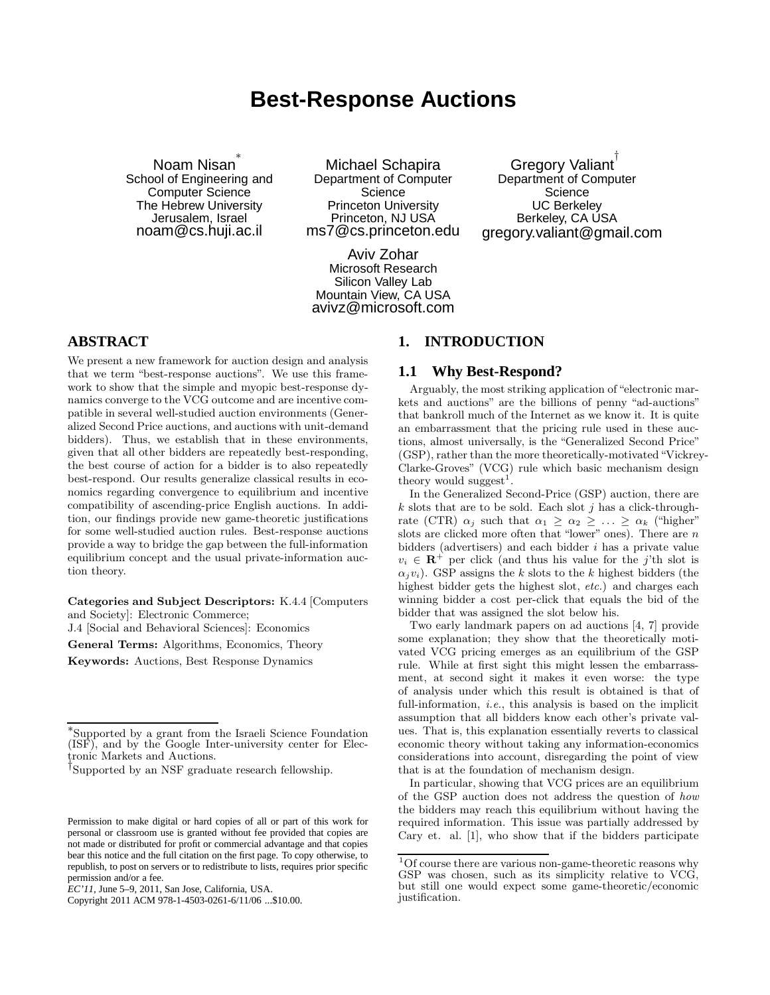# **Best-Response Auctions**

Noam Nisan ∗ School of Engineering and Computer Science The Hebrew University Jerusalem, Israel noam@cs.huji.ac.il

Michael Schapira Department of Computer **Science** Princeton University Princeton, NJ USA ms7@cs.princeton.edu

Aviv Zohar Microsoft Research Silicon Valley Lab Mountain View, CA USA avivz@microsoft.com

Gregory Valiant $^\dagger$ Department of Computer **Science** UC Berkeley Berkeley, CA USA gregory.valiant@gmail.com

# **ABSTRACT**

We present a new framework for auction design and analysis that we term "best-response auctions". We use this framework to show that the simple and myopic best-response dynamics converge to the VCG outcome and are incentive compatible in several well-studied auction environments (Generalized Second Price auctions, and auctions with unit-demand bidders). Thus, we establish that in these environments, given that all other bidders are repeatedly best-responding, the best course of action for a bidder is to also repeatedly best-respond. Our results generalize classical results in economics regarding convergence to equilibrium and incentive compatibility of ascending-price English auctions. In addition, our findings provide new game-theoretic justifications for some well-studied auction rules. Best-response auctions provide a way to bridge the gap between the full-information equilibrium concept and the usual private-information auction theory.

Categories and Subject Descriptors: K.4.4 [Computers and Society]: Electronic Commerce;

J.4 [Social and Behavioral Sciences]: Economics

General Terms: Algorithms, Economics, Theory

Keywords: Auctions, Best Response Dynamics

#### **1. INTRODUCTION**

#### **1.1 Why Best-Respond?**

Arguably, the most striking application of "electronic markets and auctions" are the billions of penny "ad-auctions" that bankroll much of the Internet as we know it. It is quite an embarrassment that the pricing rule used in these auctions, almost universally, is the "Generalized Second Price" (GSP), rather than the more theoretically-motivated"Vickrey-Clarke-Groves" (VCG) rule which basic mechanism design theory would suggest<sup>1</sup>.

In the Generalized Second-Price (GSP) auction, there are k slots that are to be sold. Each slot j has a click-throughrate (CTR)  $\alpha_i$  such that  $\alpha_1 \geq \alpha_2 \geq \ldots \geq \alpha_k$  ("higher" slots are clicked more often that "lower" ones). There are  $n$ bidders (advertisers) and each bidder i has a private value  $v_i \in \mathbf{R}^+$  per click (and thus his value for the j'th slot is  $\alpha_i v_i$ ). GSP assigns the k slots to the k highest bidders (the highest bidder gets the highest slot, etc.) and charges each winning bidder a cost per-click that equals the bid of the bidder that was assigned the slot below his.

Two early landmark papers on ad auctions [4, 7] provide some explanation; they show that the theoretically motivated VCG pricing emerges as an equilibrium of the GSP rule. While at first sight this might lessen the embarrassment, at second sight it makes it even worse: the type of analysis under which this result is obtained is that of full-information, *i.e.*, this analysis is based on the implicit assumption that all bidders know each other's private values. That is, this explanation essentially reverts to classical economic theory without taking any information-economics considerations into account, disregarding the point of view that is at the foundation of mechanism design.

In particular, showing that VCG prices are an equilibrium of the GSP auction does not address the question of how the bidders may reach this equilibrium without having the required information. This issue was partially addressed by Cary et. al. [1], who show that if the bidders participate

<sup>∗</sup> Supported by a grant from the Israeli Science Foundation (ISF), and by the Google Inter-university center for Electronic Markets and Auctions.

<sup>†</sup> Supported by an NSF graduate research fellowship.

Permission to make digital or hard copies of all or part of this work for personal or classroom use is granted without fee provided that copies are not made or distributed for profit or commercial advantage and that copies bear this notice and the full citation on the first page. To copy otherwise, to republish, to post on servers or to redistribute to lists, requires prior specific permission and/or a fee.

*EC'11,* June 5–9, 2011, San Jose, California, USA.

Copyright 2011 ACM 978-1-4503-0261-6/11/06 ...\$10.00.

<sup>1</sup>Of course there are various non-game-theoretic reasons why GSP was chosen, such as its simplicity relative to VCG, but still one would expect some game-theoretic/economic justification.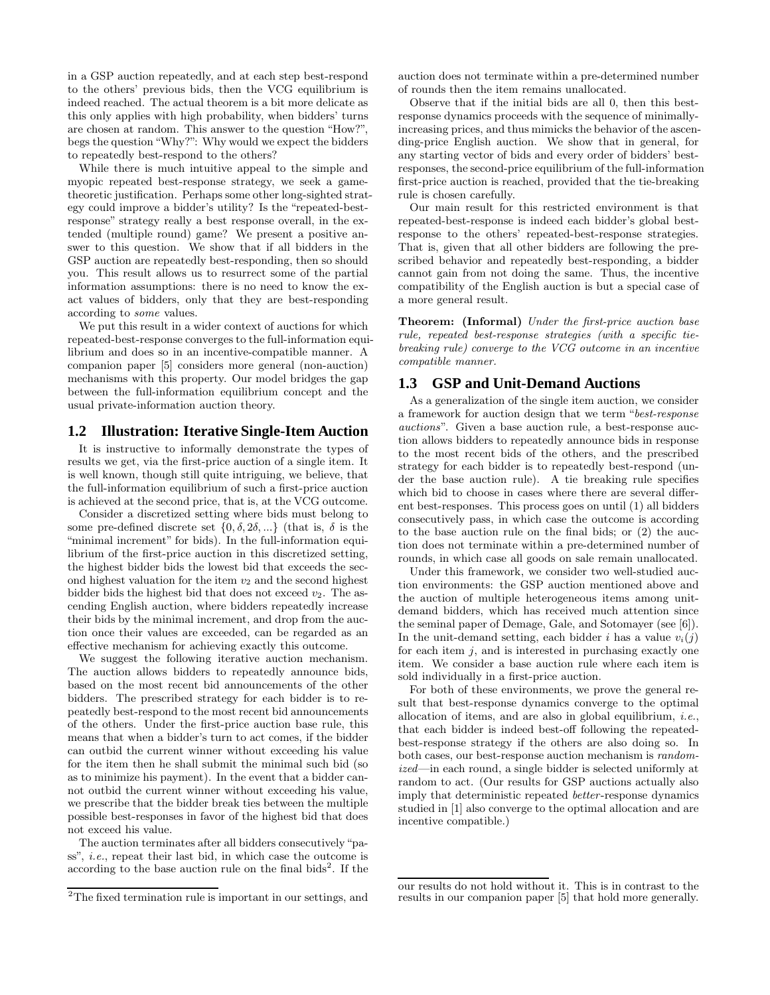in a GSP auction repeatedly, and at each step best-respond to the others' previous bids, then the VCG equilibrium is indeed reached. The actual theorem is a bit more delicate as this only applies with high probability, when bidders' turns are chosen at random. This answer to the question "How?", begs the question "Why?": Why would we expect the bidders to repeatedly best-respond to the others?

While there is much intuitive appeal to the simple and myopic repeated best-response strategy, we seek a gametheoretic justification. Perhaps some other long-sighted strategy could improve a bidder's utility? Is the "repeated-bestresponse" strategy really a best response overall, in the extended (multiple round) game? We present a positive answer to this question. We show that if all bidders in the GSP auction are repeatedly best-responding, then so should you. This result allows us to resurrect some of the partial information assumptions: there is no need to know the exact values of bidders, only that they are best-responding according to some values.

We put this result in a wider context of auctions for which repeated-best-response converges to the full-information equilibrium and does so in an incentive-compatible manner. A companion paper [5] considers more general (non-auction) mechanisms with this property. Our model bridges the gap between the full-information equilibrium concept and the usual private-information auction theory.

#### **1.2 Illustration: Iterative Single-Item Auction**

It is instructive to informally demonstrate the types of results we get, via the first-price auction of a single item. It is well known, though still quite intriguing, we believe, that the full-information equilibrium of such a first-price auction is achieved at the second price, that is, at the VCG outcome.

Consider a discretized setting where bids must belong to some pre-defined discrete set  $\{0, \delta, 2\delta, ...\}$  (that is,  $\delta$  is the "minimal increment" for bids). In the full-information equilibrium of the first-price auction in this discretized setting, the highest bidder bids the lowest bid that exceeds the second highest valuation for the item  $v_2$  and the second highest bidder bids the highest bid that does not exceed  $v_2$ . The ascending English auction, where bidders repeatedly increase their bids by the minimal increment, and drop from the auction once their values are exceeded, can be regarded as an effective mechanism for achieving exactly this outcome.

We suggest the following iterative auction mechanism. The auction allows bidders to repeatedly announce bids, based on the most recent bid announcements of the other bidders. The prescribed strategy for each bidder is to repeatedly best-respond to the most recent bid announcements of the others. Under the first-price auction base rule, this means that when a bidder's turn to act comes, if the bidder can outbid the current winner without exceeding his value for the item then he shall submit the minimal such bid (so as to minimize his payment). In the event that a bidder cannot outbid the current winner without exceeding his value, we prescribe that the bidder break ties between the multiple possible best-responses in favor of the highest bid that does not exceed his value.

The auction terminates after all bidders consecutively "pass", i.e., repeat their last bid, in which case the outcome is according to the base auction rule on the final bids<sup>2</sup>. If the

auction does not terminate within a pre-determined number of rounds then the item remains unallocated.

Observe that if the initial bids are all 0, then this bestresponse dynamics proceeds with the sequence of minimallyincreasing prices, and thus mimicks the behavior of the ascending-price English auction. We show that in general, for any starting vector of bids and every order of bidders' bestresponses, the second-price equilibrium of the full-information first-price auction is reached, provided that the tie-breaking rule is chosen carefully.

Our main result for this restricted environment is that repeated-best-response is indeed each bidder's global bestresponse to the others' repeated-best-response strategies. That is, given that all other bidders are following the prescribed behavior and repeatedly best-responding, a bidder cannot gain from not doing the same. Thus, the incentive compatibility of the English auction is but a special case of a more general result.

Theorem: (Informal) Under the first-price auction base rule, repeated best-response strategies (with a specific tiebreaking rule) converge to the VCG outcome in an incentive compatible manner.

## **1.3 GSP and Unit-Demand Auctions**

As a generalization of the single item auction, we consider a framework for auction design that we term "best-response auctions". Given a base auction rule, a best-response auction allows bidders to repeatedly announce bids in response to the most recent bids of the others, and the prescribed strategy for each bidder is to repeatedly best-respond (under the base auction rule). A tie breaking rule specifies which bid to choose in cases where there are several different best-responses. This process goes on until (1) all bidders consecutively pass, in which case the outcome is according to the base auction rule on the final bids; or (2) the auction does not terminate within a pre-determined number of rounds, in which case all goods on sale remain unallocated.

Under this framework, we consider two well-studied auction environments: the GSP auction mentioned above and the auction of multiple heterogeneous items among unitdemand bidders, which has received much attention since the seminal paper of Demage, Gale, and Sotomayer (see [6]). In the unit-demand setting, each bidder i has a value  $v_i(j)$ for each item  $i$ , and is interested in purchasing exactly one item. We consider a base auction rule where each item is sold individually in a first-price auction.

For both of these environments, we prove the general result that best-response dynamics converge to the optimal allocation of items, and are also in global equilibrium, *i.e.*, that each bidder is indeed best-off following the repeatedbest-response strategy if the others are also doing so. In both cases, our best-response auction mechanism is randomized—in each round, a single bidder is selected uniformly at random to act. (Our results for GSP auctions actually also imply that deterministic repeated better-response dynamics studied in [1] also converge to the optimal allocation and are incentive compatible.)

<sup>&</sup>lt;sup>2</sup>The fixed termination rule is important in our settings, and

our results do not hold without it. This is in contrast to the results in our companion paper [5] that hold more generally.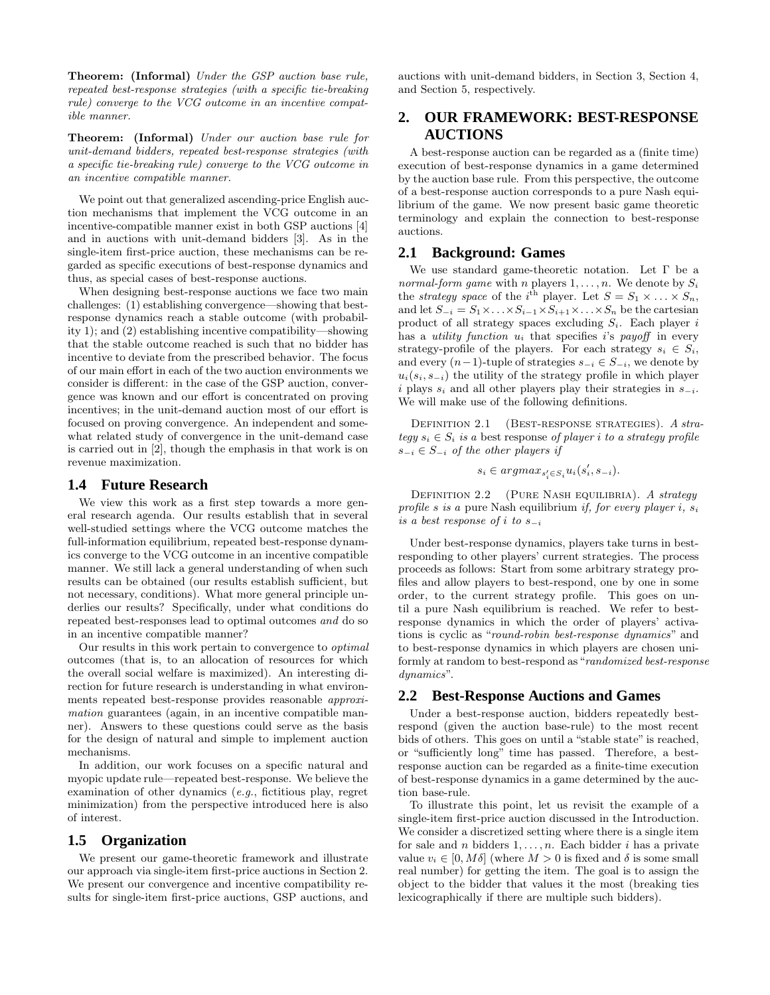Theorem: (Informal) Under the GSP auction base rule, repeated best-response strategies (with a specific tie-breaking rule) converge to the VCG outcome in an incentive compatible manner.

Theorem: (Informal) Under our auction base rule for unit-demand bidders, repeated best-response strategies (with a specific tie-breaking rule) converge to the VCG outcome in an incentive compatible manner.

We point out that generalized ascending-price English auction mechanisms that implement the VCG outcome in an incentive-compatible manner exist in both GSP auctions [4] and in auctions with unit-demand bidders [3]. As in the single-item first-price auction, these mechanisms can be regarded as specific executions of best-response dynamics and thus, as special cases of best-response auctions.

When designing best-response auctions we face two main challenges: (1) establishing convergence—showing that bestresponse dynamics reach a stable outcome (with probability 1); and (2) establishing incentive compatibility—showing that the stable outcome reached is such that no bidder has incentive to deviate from the prescribed behavior. The focus of our main effort in each of the two auction environments we consider is different: in the case of the GSP auction, convergence was known and our effort is concentrated on proving incentives; in the unit-demand auction most of our effort is focused on proving convergence. An independent and somewhat related study of convergence in the unit-demand case is carried out in [2], though the emphasis in that work is on revenue maximization.

#### **1.4 Future Research**

We view this work as a first step towards a more general research agenda. Our results establish that in several well-studied settings where the VCG outcome matches the full-information equilibrium, repeated best-response dynamics converge to the VCG outcome in an incentive compatible manner. We still lack a general understanding of when such results can be obtained (our results establish sufficient, but not necessary, conditions). What more general principle underlies our results? Specifically, under what conditions do repeated best-responses lead to optimal outcomes and do so in an incentive compatible manner?

Our results in this work pertain to convergence to optimal outcomes (that is, to an allocation of resources for which the overall social welfare is maximized). An interesting direction for future research is understanding in what environments repeated best-response provides reasonable approximation guarantees (again, in an incentive compatible manner). Answers to these questions could serve as the basis for the design of natural and simple to implement auction mechanisms.

In addition, our work focuses on a specific natural and myopic update rule—repeated best-response. We believe the examination of other dynamics (e.g., fictitious play, regret minimization) from the perspective introduced here is also of interest.

#### **1.5 Organization**

We present our game-theoretic framework and illustrate our approach via single-item first-price auctions in Section 2. We present our convergence and incentive compatibility results for single-item first-price auctions, GSP auctions, and auctions with unit-demand bidders, in Section 3, Section 4, and Section 5, respectively.

# **2. OUR FRAMEWORK: BEST-RESPONSE AUCTIONS**

A best-response auction can be regarded as a (finite time) execution of best-response dynamics in a game determined by the auction base rule. From this perspective, the outcome of a best-response auction corresponds to a pure Nash equilibrium of the game. We now present basic game theoretic terminology and explain the connection to best-response auctions.

## **2.1 Background: Games**

We use standard game-theoretic notation. Let Γ be a normal-form game with n players  $1, \ldots, n$ . We denote by  $S_i$ the *strategy space* of the *i*<sup>th</sup> player. Let  $S = S_1 \times \ldots \times S_n$ , and let  $S_{-i} = S_1 \times \ldots \times S_{i-1} \times S_{i+1} \times \ldots \times S_n$  be the cartesian product of all strategy spaces excluding  $S_i$ . Each player i has a *utility function*  $u_i$  that specifies is payoff in every strategy-profile of the players. For each strategy  $s_i \in S_i$ , and every  $(n-1)$ -tuple of strategies  $s_{-i} \in S_{-i}$ , we denote by  $u_i(s_i, s_{-i})$  the utility of the strategy profile in which player i plays  $s_i$  and all other players play their strategies in  $s_{-i}$ . We will make use of the following definitions.

DEFINITION 2.1 (BEST-RESPONSE STRATEGIES). A strategy  $s_i \in S_i$  is a best response of player i to a strategy profile  $s_{-i} \in S_{-i}$  of the other players if

$$
s_i \in argmax_{s'_i \in S_i} u_i(s'_i, s_{-i}).
$$

DEFINITION  $2.2$  (PURE NASH EQUILIBRIA). A strategy profile s is a pure Nash equilibrium if, for every player i,  $s_i$ is a best response of i to  $s_{-i}$ 

Under best-response dynamics, players take turns in bestresponding to other players' current strategies. The process proceeds as follows: Start from some arbitrary strategy profiles and allow players to best-respond, one by one in some order, to the current strategy profile. This goes on until a pure Nash equilibrium is reached. We refer to bestresponse dynamics in which the order of players' activations is cyclic as "round-robin best-response dynamics" and to best-response dynamics in which players are chosen uniformly at random to best-respond as "randomized best-response dynamics".

## **2.2 Best-Response Auctions and Games**

Under a best-response auction, bidders repeatedly bestrespond (given the auction base-rule) to the most recent bids of others. This goes on until a "stable state" is reached, or "sufficiently long" time has passed. Therefore, a bestresponse auction can be regarded as a finite-time execution of best-response dynamics in a game determined by the auction base-rule.

To illustrate this point, let us revisit the example of a single-item first-price auction discussed in the Introduction. We consider a discretized setting where there is a single item for sale and n bidders  $1, \ldots, n$ . Each bidder i has a private value  $v_i \in [0, M\delta]$  (where  $M > 0$  is fixed and  $\delta$  is some small real number) for getting the item. The goal is to assign the object to the bidder that values it the most (breaking ties lexicographically if there are multiple such bidders).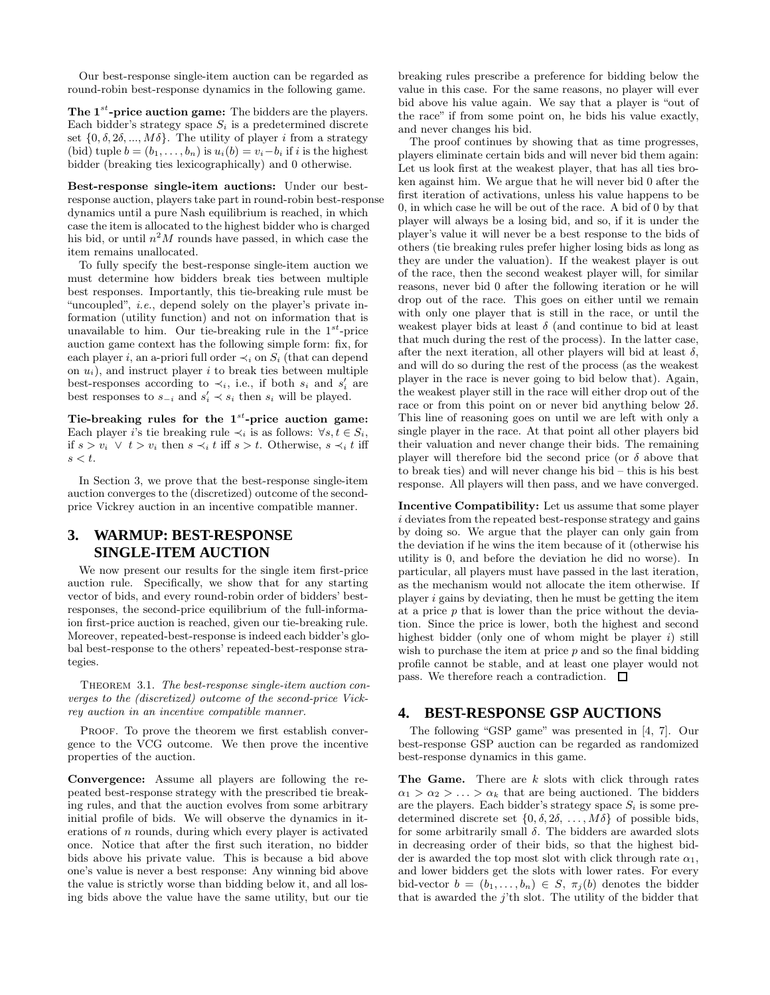Our best-response single-item auction can be regarded as round-robin best-response dynamics in the following game.

The  $1^{st}$ -price auction game: The bidders are the players. Each bidder's strategy space  $S_i$  is a predetermined discrete set  $\{0, \delta, 2\delta, ..., M\delta\}$ . The utility of player i from a strategy (bid) tuple  $b = (b_1, \ldots, b_n)$  is  $u_i(b) = v_i - b_i$  if i is the highest bidder (breaking ties lexicographically) and 0 otherwise.

Best-response single-item auctions: Under our bestresponse auction, players take part in round-robin best-response dynamics until a pure Nash equilibrium is reached, in which case the item is allocated to the highest bidder who is charged his bid, or until  $n^2M$  rounds have passed, in which case the item remains unallocated.

To fully specify the best-response single-item auction we must determine how bidders break ties between multiple best responses. Importantly, this tie-breaking rule must be "uncoupled", i.e., depend solely on the player's private information (utility function) and not on information that is unavailable to him. Our tie-breaking rule in the  $1^{st}$ -price auction game context has the following simple form: fix, for each player i, an a-priori full order  $\prec_i$  on  $S_i$  (that can depend on  $u_i$ ), and instruct player i to break ties between multiple best-responses according to  $\prec_i$ , i.e., if both  $s_i$  and  $s'_i$  are best responses to  $s_{-i}$  and  $s'_i \prec s_i$  then  $s_i$  will be played.

Tie-breaking rules for the  $1^{st}$ -price auction game: Each player *i*'s tie breaking rule  $\prec_i$  is as follows:  $\forall s, t \in S_i$ , if  $s > v_i \lor t > v_i$  then  $s \prec_i t$  iff  $s > t$ . Otherwise,  $s \prec_i t$  iff  $s < t$ .

In Section 3, we prove that the best-response single-item auction converges to the (discretized) outcome of the secondprice Vickrey auction in an incentive compatible manner.

# **3. WARMUP: BEST-RESPONSE SINGLE-ITEM AUCTION**

We now present our results for the single item first-price auction rule. Specifically, we show that for any starting vector of bids, and every round-robin order of bidders' bestresponses, the second-price equilibrium of the full-informaion first-price auction is reached, given our tie-breaking rule. Moreover, repeated-best-response is indeed each bidder's global best-response to the others' repeated-best-response strategies.

THEOREM 3.1. The best-response single-item auction converges to the (discretized) outcome of the second-price Vickrey auction in an incentive compatible manner.

PROOF. To prove the theorem we first establish convergence to the VCG outcome. We then prove the incentive properties of the auction.

Convergence: Assume all players are following the repeated best-response strategy with the prescribed tie breaking rules, and that the auction evolves from some arbitrary initial profile of bids. We will observe the dynamics in iterations of n rounds, during which every player is activated once. Notice that after the first such iteration, no bidder bids above his private value. This is because a bid above one's value is never a best response: Any winning bid above the value is strictly worse than bidding below it, and all losing bids above the value have the same utility, but our tie

breaking rules prescribe a preference for bidding below the value in this case. For the same reasons, no player will ever bid above his value again. We say that a player is "out of the race" if from some point on, he bids his value exactly, and never changes his bid.

The proof continues by showing that as time progresses, players eliminate certain bids and will never bid them again: Let us look first at the weakest player, that has all ties broken against him. We argue that he will never bid 0 after the first iteration of activations, unless his value happens to be 0, in which case he will be out of the race. A bid of 0 by that player will always be a losing bid, and so, if it is under the player's value it will never be a best response to the bids of others (tie breaking rules prefer higher losing bids as long as they are under the valuation). If the weakest player is out of the race, then the second weakest player will, for similar reasons, never bid 0 after the following iteration or he will drop out of the race. This goes on either until we remain with only one player that is still in the race, or until the weakest player bids at least  $\delta$  (and continue to bid at least that much during the rest of the process). In the latter case, after the next iteration, all other players will bid at least  $\delta$ , and will do so during the rest of the process (as the weakest player in the race is never going to bid below that). Again, the weakest player still in the race will either drop out of the race or from this point on or never bid anything below 2δ. This line of reasoning goes on until we are left with only a single player in the race. At that point all other players bid their valuation and never change their bids. The remaining player will therefore bid the second price (or  $\delta$  above that to break ties) and will never change his bid – this is his best response. All players will then pass, and we have converged.

Incentive Compatibility: Let us assume that some player i deviates from the repeated best-response strategy and gains by doing so. We argue that the player can only gain from the deviation if he wins the item because of it (otherwise his utility is 0, and before the deviation he did no worse). In particular, all players must have passed in the last iteration, as the mechanism would not allocate the item otherwise. If player  $i$  gains by deviating, then he must be getting the item at a price  $p$  that is lower than the price without the deviation. Since the price is lower, both the highest and second highest bidder (only one of whom might be player  $i$ ) still wish to purchase the item at price  $p$  and so the final bidding profile cannot be stable, and at least one player would not pass. We therefore reach a contradiction.  $\square$ 

## **4. BEST-RESPONSE GSP AUCTIONS**

The following "GSP game" was presented in [4, 7]. Our best-response GSP auction can be regarded as randomized best-response dynamics in this game.

The Game. There are  $k$  slots with click through rates  $\alpha_1 > \alpha_2 > \ldots > \alpha_k$  that are being auctioned. The bidders are the players. Each bidder's strategy space  $S_i$  is some predetermined discrete set  $\{0, \delta, 2\delta, \ldots, M\delta\}$  of possible bids, for some arbitrarily small  $\delta$ . The bidders are awarded slots in decreasing order of their bids, so that the highest bidder is awarded the top most slot with click through rate  $\alpha_1$ , and lower bidders get the slots with lower rates. For every bid-vector  $b = (b_1, \ldots, b_n) \in S$ ,  $\pi_j(b)$  denotes the bidder that is awarded the  $j'$ <sup>th</sup> slot. The utility of the bidder that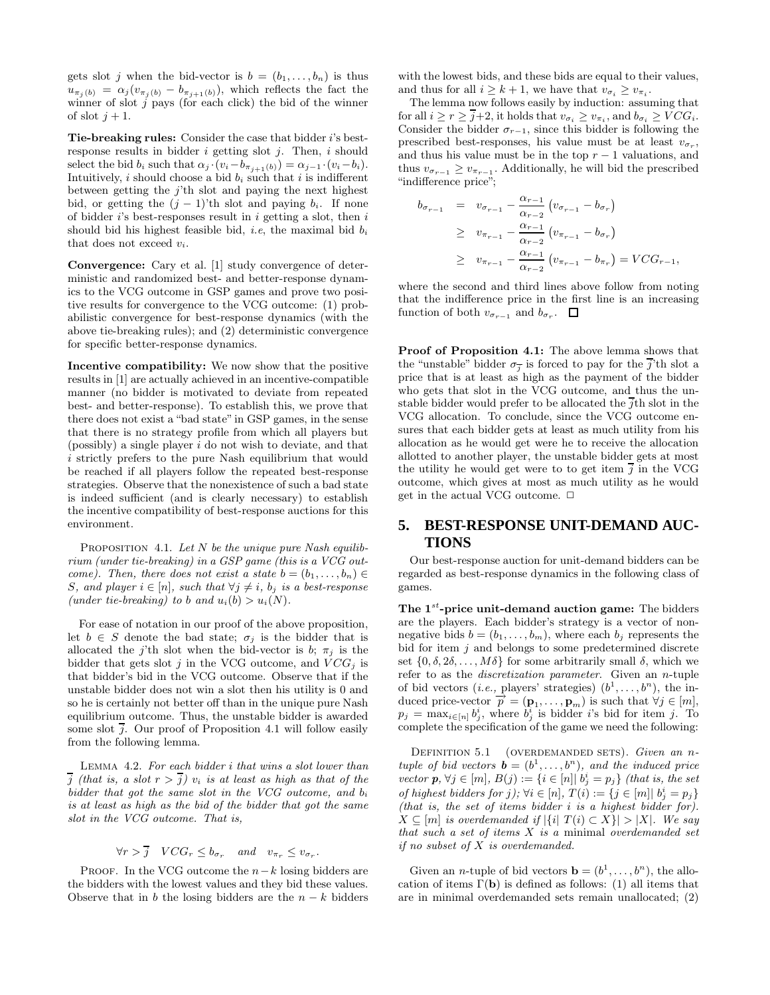gets slot j when the bid-vector is  $b = (b_1, \ldots, b_n)$  is thus  $u_{\pi_i(b)} = \alpha_j (v_{\pi_i(b)} - b_{\pi_{i+1}(b)})$ , which reflects the fact the winner of slot  $j$  pays (for each click) the bid of the winner of slot  $j + 1$ .

Tie-breaking rules: Consider the case that bidder i's bestresponse results in bidder  $i$  getting slot  $j$ . Then,  $i$  should select the bid  $b_i$  such that  $\alpha_j \cdot (v_i - b_{\pi_{j+1}(b)}) = \alpha_{j-1} \cdot (v_i - b_i)$ . Intuitively, i should choose a bid  $b_i$  such that i is indifferent between getting the  $j$ 'th slot and paying the next highest bid, or getting the  $(j - 1)$ 'th slot and paying  $b_i$ . If none of bidder  $i$ 's best-responses result in  $i$  getting a slot, then  $i$ should bid his highest feasible bid, *i.e.*, the maximal bid  $b_i$ that does not exceed  $v_i$ .

Convergence: Cary et al. [1] study convergence of deterministic and randomized best- and better-response dynamics to the VCG outcome in GSP games and prove two positive results for convergence to the VCG outcome: (1) probabilistic convergence for best-response dynamics (with the above tie-breaking rules); and (2) deterministic convergence for specific better-response dynamics.

Incentive compatibility: We now show that the positive results in [1] are actually achieved in an incentive-compatible manner (no bidder is motivated to deviate from repeated best- and better-response). To establish this, we prove that there does not exist a "bad state"in GSP games, in the sense that there is no strategy profile from which all players but (possibly) a single player  $i$  do not wish to deviate, and that i strictly prefers to the pure Nash equilibrium that would be reached if all players follow the repeated best-response strategies. Observe that the nonexistence of such a bad state is indeed sufficient (and is clearly necessary) to establish the incentive compatibility of best-response auctions for this environment.

PROPOSITION 4.1. Let  $N$  be the unique pure Nash equilibrium (under tie-breaking) in a GSP game (this is a VCG outcome). Then, there does not exist a state  $b = (b_1, \ldots, b_n) \in$ S, and player  $i \in [n]$ , such that  $\forall j \neq i$ ,  $b_j$  is a best-response (under tie-breaking) to b and  $u_i(b) > u_i(N)$ .

For ease of notation in our proof of the above proposition, let  $b \in S$  denote the bad state;  $\sigma_i$  is the bidder that is allocated the j'th slot when the bid-vector is b;  $\pi_i$  is the bidder that gets slot j in the VCG outcome, and  $VCG<sub>j</sub>$  is that bidder's bid in the VCG outcome. Observe that if the unstable bidder does not win a slot then his utility is 0 and so he is certainly not better off than in the unique pure Nash equilibrium outcome. Thus, the unstable bidder is awarded some slot  $\overline{j}$ . Our proof of Proposition 4.1 will follow easily from the following lemma.

Lemma 4.2. For each bidder i that wins a slot lower than  $\overline{j}$  (that is, a slot  $r > \overline{j}$ )  $v_i$  is at least as high as that of the bidder that got the same slot in the VCG outcome, and  $b_i$ is at least as high as the bid of the bidder that got the same slot in the VCG outcome. That is,

$$
\forall r > \overline{j} \quad VCG_r \le b_{\sigma_r} \quad and \quad v_{\pi_r} \le v_{\sigma_r}.
$$

PROOF. In the VCG outcome the  $n-k$  losing bidders are the bidders with the lowest values and they bid these values. Observe that in b the losing bidders are the  $n - k$  bidders

with the lowest bids, and these bids are equal to their values, and thus for all  $i \geq k+1$ , we have that  $v_{\sigma_i} \geq v_{\pi_i}$ .

The lemma now follows easily by induction: assuming that for all  $i \geq r \geq j+2$ , it holds that  $v_{\sigma_i} \geq v_{\pi_i}$ , and  $b_{\sigma_i} \geq VCG_i$ . Consider the bidder  $\sigma_{r-1}$ , since this bidder is following the prescribed best-responses, his value must be at least  $v_{\sigma_r}$ , and thus his value must be in the top  $r - 1$  valuations, and thus  $v_{\sigma_{r-1}} \geq v_{\pi_{r-1}}$ . Additionally, he will bid the prescribed "indifference price";

$$
b_{\sigma_{r-1}} = v_{\sigma_{r-1}} - \frac{\alpha_{r-1}}{\alpha_{r-2}} (v_{\sigma_{r-1}} - b_{\sigma_r})
$$
  
\n
$$
\geq v_{\pi_{r-1}} - \frac{\alpha_{r-1}}{\alpha_{r-2}} (v_{\pi_{r-1}} - b_{\sigma_r})
$$
  
\n
$$
\geq v_{\pi_{r-1}} - \frac{\alpha_{r-1}}{\alpha_{r-2}} (v_{\pi_{r-1}} - b_{\pi_r}) = VCG_{r-1},
$$

where the second and third lines above follow from noting that the indifference price in the first line is an increasing function of both  $v_{\sigma_{r-1}}$  and  $b_{\sigma_r}$ .

Proof of Proposition 4.1: The above lemma shows that the "unstable" bidder  $\sigma_{\overline{j}}$  is forced to pay for the j'th slot a price that is at least as high as the payment of the bidder who gets that slot in the VCG outcome, and thus the unstable bidder would prefer to be allocated the  $\overline{j}$ th slot in the VCG allocation. To conclude, since the VCG outcome ensures that each bidder gets at least as much utility from his allocation as he would get were he to receive the allocation allotted to another player, the unstable bidder gets at most the utility he would get were to to get item  $\overline{j}$  in the VCG outcome, which gives at most as much utility as he would get in the actual VCG outcome.  $\Box$ 

# **5. BEST-RESPONSE UNIT-DEMAND AUC-TIONS**

Our best-response auction for unit-demand bidders can be regarded as best-response dynamics in the following class of games.

The  $1^{st}$ -price unit-demand auction game: The bidders are the players. Each bidder's strategy is a vector of nonnegative bids  $b = (b_1, \ldots, b_m)$ , where each  $b_j$  represents the bid for item  $j$  and belongs to some predetermined discrete set  $\{0, \delta, 2\delta, \ldots, M\delta\}$  for some arbitrarily small  $\delta$ , which we refer to as the discretization parameter. Given an n-tuple of bid vectors (*i.e.*, players' strategies)  $(b^1, \ldots, b^n)$ , the induced price-vector  $\overrightarrow{p} = (\mathbf{p}_1, \dots, \mathbf{p}_m)$  is such that  $\forall j \in [m]$ ,  $p_j = \max_{i \in [n]} b_j^i$ , where  $b_j^i$  is bidder i's bid for item j. To complete the specification of the game we need the following:

DEFINITION 5.1 (OVERDEMANDED SETS). Given an ntuple of bid vectors  $\mathbf{b} = (b^1, \ldots, b^n)$ , and the induced price vector  $p, \forall j \in [m], B(j) := \{i \in [n] | b_j^i = p_j\}$  (that is, the set of highest bidders for j);  $\forall i \in [n], T(i) := \{j \in [m] | b_j^i = p_j\}$ (that is, the set of items bidder i is a highest bidder for).  $X \subseteq [m]$  is overdemanded if  $|\{i \mid T(i) \subset X\}| > |X|$ . We say that such a set of items  $X$  is a minimal overdemanded set if no subset of X is overdemanded.

Given an *n*-tuple of bid vectors  $\mathbf{b} = (b^1, \dots, b^n)$ , the allocation of items  $\Gamma(\mathbf{b})$  is defined as follows: (1) all items that are in minimal overdemanded sets remain unallocated; (2)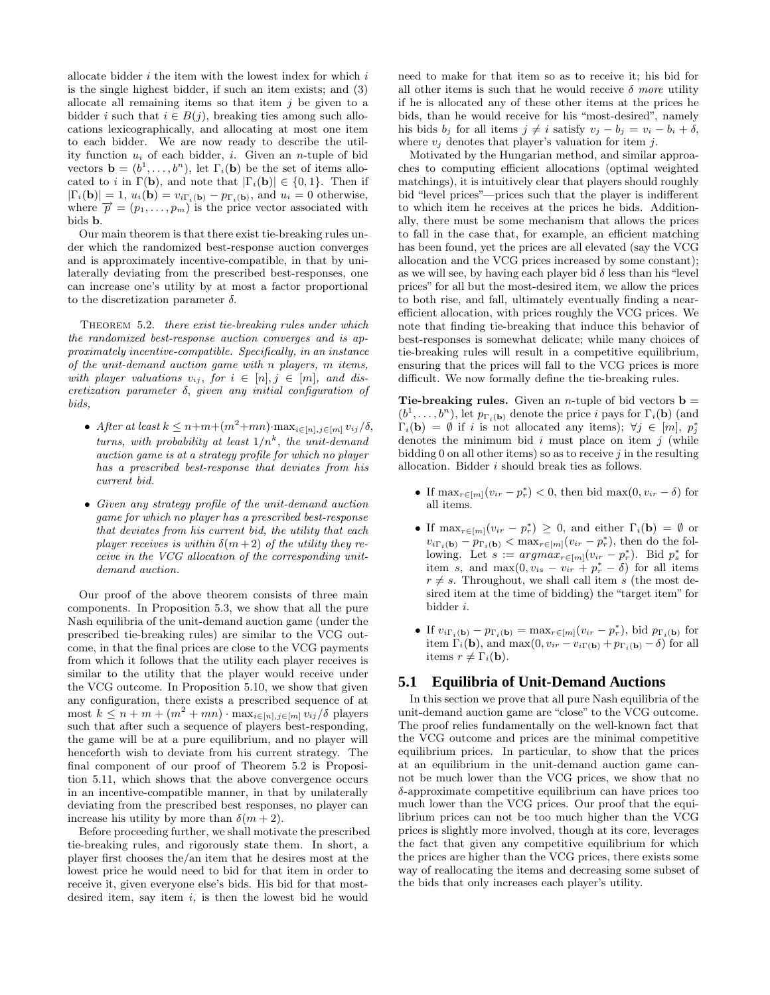allocate bidder  $i$  the item with the lowest index for which  $i$ is the single highest bidder, if such an item exists; and (3) allocate all remaining items so that item  $i$  be given to a bidder i such that  $i \in B(j)$ , breaking ties among such allocations lexicographically, and allocating at most one item to each bidder. We are now ready to describe the utility function  $u_i$  of each bidder, i. Given an *n*-tuple of bid vectors  $\mathbf{b} = (b^1, \ldots, b^n)$ , let  $\Gamma_i(\mathbf{b})$  be the set of items allocated to i in  $\Gamma(\mathbf{b})$ , and note that  $|\Gamma_i(\mathbf{b})| \in \{0,1\}$ . Then if  $|\Gamma_i(\mathbf{b})| = 1$ ,  $u_i(\mathbf{b}) = v_{i\Gamma_i(\mathbf{b})} - p_{\Gamma_i(\mathbf{b})}$ , and  $u_i = 0$  otherwise, where  $\vec{p} = (p_1, \ldots, p_m)$  is the price vector associated with bids b.

Our main theorem is that there exist tie-breaking rules under which the randomized best-response auction converges and is approximately incentive-compatible, in that by unilaterally deviating from the prescribed best-responses, one can increase one's utility by at most a factor proportional to the discretization parameter  $\delta$ .

THEOREM 5.2. there exist tie-breaking rules under which the randomized best-response auction converges and is approximately incentive-compatible. Specifically, in an instance of the unit-demand auction game with n players, m items, with player valuations  $v_{ij}$ , for  $i \in [n], j \in [m]$ , and discretization parameter  $\delta$ , given any initial configuration of bids,

- After at least  $k \leq n+m+(m^2+mn)\cdot \max_{i\in[n],j\in[m]} v_{ij}/\delta$ , turns, with probability at least  $1/n^k$ , the unit-demand auction game is at a strategy profile for which no player has a prescribed best-response that deviates from his current bid.
- Given any strategy profile of the unit-demand auction game for which no player has a prescribed best-response that deviates from his current bid, the utility that each player receives is within  $\delta(m+2)$  of the utility they receive in the VCG allocation of the corresponding unitdemand auction.

Our proof of the above theorem consists of three main components. In Proposition 5.3, we show that all the pure Nash equilibria of the unit-demand auction game (under the prescribed tie-breaking rules) are similar to the VCG outcome, in that the final prices are close to the VCG payments from which it follows that the utility each player receives is similar to the utility that the player would receive under the VCG outcome. In Proposition 5.10, we show that given any configuration, there exists a prescribed sequence of at most  $k \leq n + m + (m^2 + mn) \cdot \max_{i \in [n], j \in [m]} v_{ij}/\delta$  players such that after such a sequence of players best-responding, the game will be at a pure equilibrium, and no player will henceforth wish to deviate from his current strategy. The final component of our proof of Theorem 5.2 is Proposition 5.11, which shows that the above convergence occurs in an incentive-compatible manner, in that by unilaterally deviating from the prescribed best responses, no player can increase his utility by more than  $\delta(m+2)$ .

Before proceeding further, we shall motivate the prescribed tie-breaking rules, and rigorously state them. In short, a player first chooses the/an item that he desires most at the lowest price he would need to bid for that item in order to receive it, given everyone else's bids. His bid for that mostdesired item, say item  $i$ , is then the lowest bid he would

need to make for that item so as to receive it; his bid for all other items is such that he would receive  $\delta$  more utility if he is allocated any of these other items at the prices he bids, than he would receive for his "most-desired", namely his bids  $b_j$  for all items  $j \neq i$  satisfy  $v_j - b_j = v_i - b_i + \delta$ , where  $v_j$  denotes that player's valuation for item j.

Motivated by the Hungarian method, and similar approaches to computing efficient allocations (optimal weighted matchings), it is intuitively clear that players should roughly bid "level prices"—prices such that the player is indifferent to which item he receives at the prices he bids. Additionally, there must be some mechanism that allows the prices to fall in the case that, for example, an efficient matching has been found, yet the prices are all elevated (say the VCG allocation and the VCG prices increased by some constant); as we will see, by having each player bid  $\delta$  less than his "level prices" for all but the most-desired item, we allow the prices to both rise, and fall, ultimately eventually finding a nearefficient allocation, with prices roughly the VCG prices. We note that finding tie-breaking that induce this behavior of best-responses is somewhat delicate; while many choices of tie-breaking rules will result in a competitive equilibrium, ensuring that the prices will fall to the VCG prices is more difficult. We now formally define the tie-breaking rules.

Tie-breaking rules. Given an *n*-tuple of bid vectors  $\mathbf{b} =$  $(b^1, \ldots, b^n)$ , let  $p_{\Gamma_i(\mathbf{b})}$  denote the price i pays for  $\Gamma_i(\mathbf{b})$  (and  $\Gamma_i(\mathbf{b}) = \emptyset$  if i is not allocated any items);  $\forall j \in [m], p_j^*$ denotes the minimum bid  $i$  must place on item  $j$  (while bidding 0 on all other items) so as to receive  $j$  in the resulting allocation. Bidder i should break ties as follows.

- If  $\max_{r \in [m]} (v_{ir} p_r^*) < 0$ , then bid  $\max(0, v_{ir} \delta)$  for all items.
- If  $\max_{r \in [m]} (v_{ir} p_r^*) \geq 0$ , and either  $\Gamma_i(\mathbf{b}) = \emptyset$  or  $v_{i\Gamma_i(\mathbf{b})} - p_{\Gamma_i(\mathbf{b})} < \max_{r \in [m]} (v_{ir} - p_r^*)$ , then do the following. Let  $s := argmax_{r \in [m]}(v_{ir} - p_r^*)$ . Bid  $p_s^*$  for item s, and  $\max(0, v_{is} - v_{ir} + p_r^* - \delta)$  for all items  $r \neq s$ . Throughout, we shall call item s (the most desired item at the time of bidding) the "target item" for bidder i.
- If  $v_{i\Gamma_i(\mathbf{b})} p_{\Gamma_i(\mathbf{b})} = \max_{r \in [m]} (v_{ir} p_r^*)$ , bid  $p_{\Gamma_i(\mathbf{b})}$  for item  $\Gamma_i(\mathbf{b})$ , and max $(0, v_{ir} - v_{i\Gamma(\mathbf{b})} + p_{\Gamma_i(\mathbf{b})} - \delta)$  for all items  $r \neq \Gamma_i(\mathbf{b})$ .

## **5.1 Equilibria of Unit-Demand Auctions**

In this section we prove that all pure Nash equilibria of the unit-demand auction game are "close" to the VCG outcome. The proof relies fundamentally on the well-known fact that the VCG outcome and prices are the minimal competitive equilibrium prices. In particular, to show that the prices at an equilibrium in the unit-demand auction game cannot be much lower than the VCG prices, we show that no δ-approximate competitive equilibrium can have prices too much lower than the VCG prices. Our proof that the equilibrium prices can not be too much higher than the VCG prices is slightly more involved, though at its core, leverages the fact that given any competitive equilibrium for which the prices are higher than the VCG prices, there exists some way of reallocating the items and decreasing some subset of the bids that only increases each player's utility.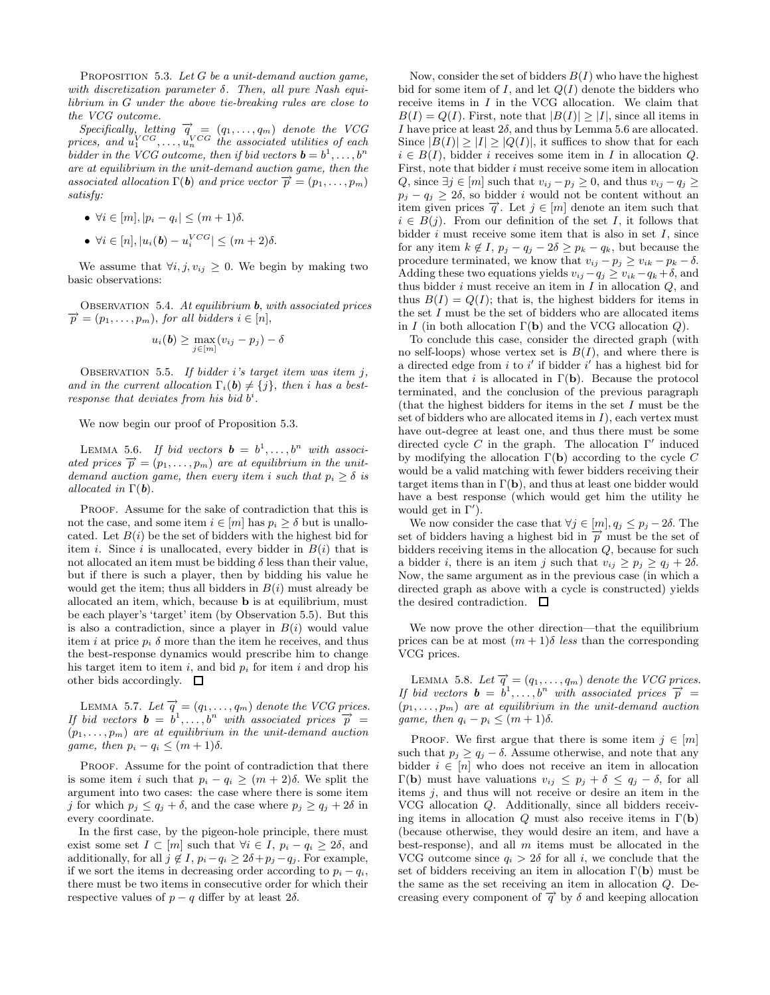PROPOSITION 5.3. Let  $G$  be a unit-demand auction game, with discretization parameter  $\delta$ . Then, all pure Nash equilibrium in G under the above tie-breaking rules are close to the VCG outcome.

Specifically, letting  $\vec{q} = (q_1, \ldots, q_m)$  denote the VCG prices, and  $u_1^{VCG}, \ldots, u_n^{VCG}$  the associated utilities of each bidder in the VCG outcome, then if bid vectors  $\mathbf{b} = b^1, \ldots, b^n$ are at equilibrium in the unit-demand auction game, then the associated allocation  $\Gamma(\mathbf{b})$  and price vector  $\overrightarrow{p} = (p_1, \ldots, p_m)$ satisfy:

- $\forall i \in [m], |p_i q_i| \leq (m+1)\delta.$
- $\forall i \in [n], |u_i(b) u_i^{VCG}| \leq (m+2)\delta.$

We assume that  $\forall i, j, v_{ij} \geq 0$ . We begin by making two basic observations:

OBSERVATION 5.4. At equilibrium **, with associated prices**  $\overrightarrow{p} = (p_1, \ldots, p_m)$ , for all bidders  $i \in [n]$ ,

$$
u_i(\textbf{\textit{b}}) \geq \max_{j \in [m]} (v_{ij} - p_j) - \delta
$$

OBSERVATION 5.5. If bidder i's target item was item j, and in the current allocation  $\Gamma_i(\mathbf{b}) \neq \{j\}$ , then i has a bestresponse that deviates from his bid  $b^i$ .

We now begin our proof of Proposition 5.3.

LEMMA 5.6. If bid vectors  $\mathbf{b} = b^1, \ldots, b^n$  with associated prices  $\overrightarrow{p} = (p_1, \ldots, p_m)$  are at equilibrium in the unitdemand auction game, then every item i such that  $p_i \geq \delta$  is allocated in  $\Gamma(\mathbf{b})$ .

PROOF. Assume for the sake of contradiction that this is not the case, and some item  $i \in [m]$  has  $p_i \geq \delta$  but is unallocated. Let  $B(i)$  be the set of bidders with the highest bid for item *i*. Since *i* is unallocated, every bidder in  $B(i)$  that is not allocated an item must be bidding  $\delta$  less than their value, but if there is such a player, then by bidding his value he would get the item; thus all bidders in  $B(i)$  must already be allocated an item, which, because b is at equilibrium, must be each player's 'target' item (by Observation 5.5). But this is also a contradiction, since a player in  $B(i)$  would value item *i* at price  $p_i$   $\delta$  more than the item he receives, and thus the best-response dynamics would prescribe him to change his target item to item i, and bid  $p_i$  for item i and drop his other bids accordingly.  $\Box$ 

LEMMA 5.7. Let  $\overrightarrow{q} = (q_1, \ldots, q_m)$  denote the VCG prices. If bid vectors  $\mathbf{b} = b^1, \ldots, b^n$  with associated prices  $\overrightarrow{p} =$  $(p_1, \ldots, p_m)$  are at equilibrium in the unit-demand auction game, then  $p_i - q_i \leq (m+1)\delta$ .

PROOF. Assume for the point of contradiction that there is some item i such that  $p_i - q_i \ge (m + 2)\delta$ . We split the argument into two cases: the case where there is some item j for which  $p_j \le q_j + \delta$ , and the case where  $p_j \ge q_j + 2\delta$  in every coordinate.

In the first case, by the pigeon-hole principle, there must exist some set  $I \subset [m]$  such that  $\forall i \in I, p_i - q_i \geq 2\delta$ , and additionally, for all  $j \notin I$ ,  $p_i - q_i \geq 2\delta + p_j - q_j$ . For example, if we sort the items in decreasing order according to  $p_i - q_i$ , there must be two items in consecutive order for which their respective values of  $p - q$  differ by at least 2 $\delta$ .

Now, consider the set of bidders  $B(I)$  who have the highest bid for some item of  $I$ , and let  $Q(I)$  denote the bidders who receive items in I in the VCG allocation. We claim that  $B(I) = Q(I)$ . First, note that  $|B(I)| > |I|$ , since all items in I have price at least  $2\delta$ , and thus by Lemma 5.6 are allocated. Since  $|B(I)| \geq |I| \geq |Q(I)|$ , it suffices to show that for each  $i \in B(I)$ , bidder i receives some item in I in allocation Q. First, note that bidder i must receive some item in allocation Q, since  $\exists j \in [m]$  such that  $v_{ij} - p_j \geq 0$ , and thus  $v_{ij} - q_j \geq 0$  $p_j - q_j \geq 2\delta$ , so bidder i would not be content without an item given prices  $\vec{q}$ . Let  $j \in [m]$  denote an item such that  $i \in B(j)$ . From our definition of the set I, it follows that bidder  $i$  must receive some item that is also in set  $I$ , since for any item  $k \notin I$ ,  $p_j - q_j - 2\delta \geq p_k - q_k$ , but because the procedure terminated, we know that  $v_{ij} - p_j \ge v_{ik} - p_k - \delta$ . Adding these two equations yields  $v_{ij} - q_j \ge v_{ik} - q_k + \delta$ , and thus bidder  $i$  must receive an item in  $I$  in allocation  $Q$ , and thus  $B(I) = Q(I)$ ; that is, the highest bidders for items in the set  $I$  must be the set of bidders who are allocated items in I (in both allocation  $\Gamma(\mathbf{b})$  and the VCG allocation  $Q$ ).

To conclude this case, consider the directed graph (with no self-loops) whose vertex set is  $B(I)$ , and where there is a directed edge from i to i' if bidder  $i'$  has a highest bid for the item that i is allocated in  $\Gamma(\mathbf{b})$ . Because the protocol terminated, and the conclusion of the previous paragraph (that the highest bidders for items in the set  $I$  must be the set of bidders who are allocated items in  $I$ ), each vertex must have out-degree at least one, and thus there must be some directed cycle  $C$  in the graph. The allocation  $\Gamma'$  induced by modifying the allocation  $\Gamma(\mathbf{b})$  according to the cycle C would be a valid matching with fewer bidders receiving their target items than in  $\Gamma(\mathbf{b})$ , and thus at least one bidder would have a best response (which would get him the utility he would get in  $\Gamma'$ ).

We now consider the case that  $\forall j \in [m], q_j \leq p_j - 2\delta$ . The set of bidders having a highest bid in  $\overrightarrow{p}$  must be the set of bidders receiving items in the allocation  $Q$ , because for such a bidder *i*, there is an item *j* such that  $v_{ij} \geq p_j \geq q_j + 2\delta$ . Now, the same argument as in the previous case (in which a directed graph as above with a cycle is constructed) yields the desired contradiction.  $\Box$ 

We now prove the other direction—that the equilibrium prices can be at most  $(m+1)\delta$  less than the corresponding VCG prices.

LEMMA 5.8. Let  $\overrightarrow{q} = (q_1, \ldots, q_m)$  denote the VCG prices. If bid vectors  $\mathbf{b} = b^1, \ldots, b^n$  with associated prices  $\overrightarrow{p} =$  $(p_1, \ldots, p_m)$  are at equilibrium in the unit-demand auction game, then  $q_i - p_i \leq (m+1)\delta$ .

PROOF. We first argue that there is some item  $j \in [m]$ such that  $p_j \geq q_j - \delta$ . Assume otherwise, and note that any bidder  $i \in [n]$  who does not receive an item in allocation Γ(**b**) must have valuations  $v_{ij}$  ≤  $p_j$  + δ ≤  $q_j$  − δ, for all items j, and thus will not receive or desire an item in the VCG allocation Q. Additionally, since all bidders receiving items in allocation Q must also receive items in  $\Gamma(\mathbf{b})$ (because otherwise, they would desire an item, and have a best-response), and all  $m$  items must be allocated in the VCG outcome since  $q_i > 2\delta$  for all i, we conclude that the set of bidders receiving an item in allocation  $\Gamma(\mathbf{b})$  must be the same as the set receiving an item in allocation Q. Decreasing every component of  $\vec{q}$  by  $\delta$  and keeping allocation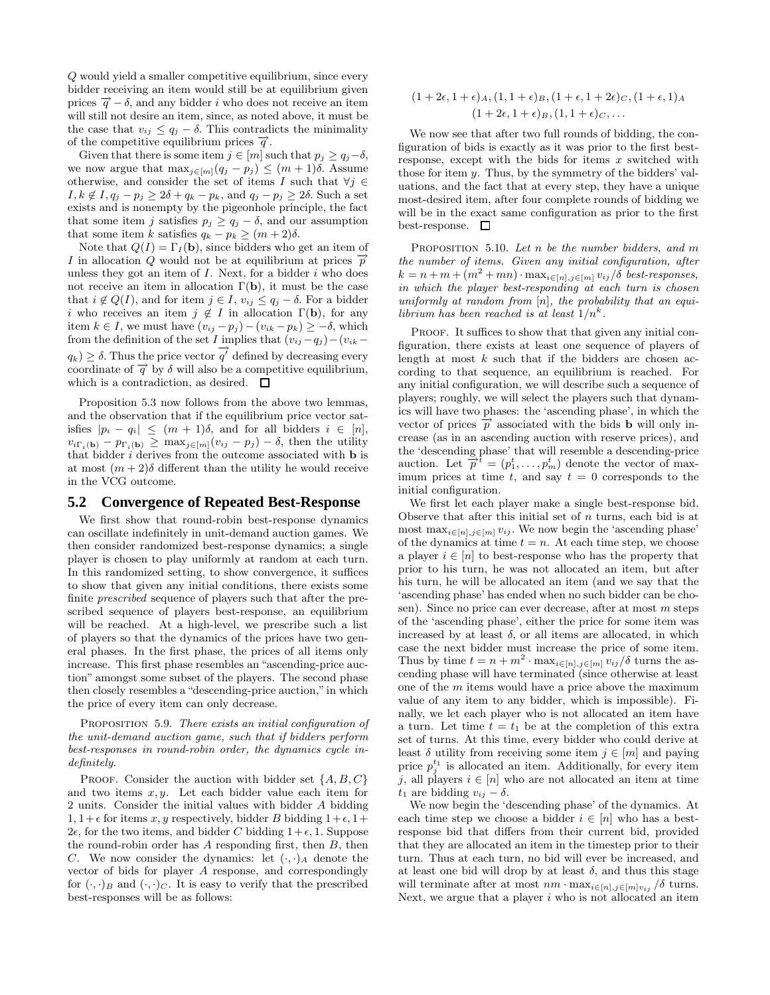Q would yield a smaller competitive equilibrium, since every bidder receiving an item would still be at equilibrium given prices  $\overrightarrow{q}$  –  $\delta$ , and any bidder i who does not receive an item will still not desire an item, since, as noted above, it must be the case that  $v_{ij} \leq q_j - \delta$ . This contradicts the minimality of the competitive equilibrium prices  $\vec{q}$ .

Given that there is some item  $j \in [m]$  such that  $p_j \geq q_j - \delta$ , we now argue that  $\max_{j\in[m]}(q_j - p_j) \leq (m+1)\delta$ . Assume otherwise, and consider the set of items I such that  $\forall j \in$  $I, k \notin I, q_j - p_j \geq 2\delta + q_k - p_k$ , and  $q_j - p_j \geq 2\delta$ . Such a set exists and is nonempty by the pigeonhole principle, the fact that some item j satisfies  $p_j \ge q_j - \delta$ , and our assumption that some item k satisfies  $q_k - p_k \ge (m+2)\delta$ .

Note that  $Q(I) = \Gamma_I(\mathbf{b})$ , since bidders who get an item of I in allocation Q would not be at equilibrium at prices  $\vec{p}$ unless they got an item of  $I$ . Next, for a bidder  $i$  who does not receive an item in allocation  $\Gamma(\mathbf{b})$ , it must be the case that  $i \notin Q(I)$ , and for item  $j \in I$ ,  $v_{ij} \leq q_j - \delta$ . For a bidder i who receives an item  $j \notin I$  in allocation  $\Gamma(\mathbf{b})$ , for any item  $k \in I$ , we must have  $(v_{ij} - p_j) - (v_{ik} - p_k) \ge -\delta$ , which from the definition of the set I implies that  $(v_{ij} - q_j) - (v_{ik}$  $q_k$ ) ≥  $\delta$ . Thus the price vector  $\overrightarrow{q'}$  defined by decreasing every coordinate of  $\overrightarrow{q}$  by  $\delta$  will also be a competitive equilibrium, which is a contradiction, as desired.  $\square$ 

Proposition 5.3 now follows from the above two lemmas, and the observation that if the equilibrium price vector satisfies  $|p_i - q_i| \leq (m + 1)\delta$ , and for all bidders  $i \in [n]$ ,  $v_{i\Gamma_i(\mathbf{b})} - p_{\Gamma_i(\mathbf{b})} \geq \max_{j \in [m]} (v_{ij} - p_j) - \delta$ , then the utility that bidder  $i$  derives from the outcome associated with  $\bf{b}$  is at most  $(m+2)\delta$  different than the utility he would receive in the VCG outcome.

#### **5.2 Convergence of Repeated Best-Response**

We first show that round-robin best-response dynamics can oscillate indefinitely in unit-demand auction games. We then consider randomized best-response dynamics; a single player is chosen to play uniformly at random at each turn. In this randomized setting, to show convergence, it suffices to show that given any initial conditions, there exists some finite prescribed sequence of players such that after the prescribed sequence of players best-response, an equilibrium will be reached. At a high-level, we prescribe such a list of players so that the dynamics of the prices have two general phases. In the first phase, the prices of all items only increase. This first phase resembles an "ascending-price auction" amongst some subset of the players. The second phase then closely resembles a "descending-price auction,"in which the price of every item can only decrease.

PROPOSITION 5.9. There exists an initial configuration of the unit-demand auction game, such that if bidders perform best-responses in round-robin order, the dynamics cycle indefinitely.

PROOF. Consider the auction with bidder set  $\{A, B, C\}$ and two items  $x, y$ . Let each bidder value each item for 2 units. Consider the initial values with bidder A bidding  $1, 1+\epsilon$  for items x, y respectively, bidder B bidding  $1+\epsilon$ ,  $1+\epsilon$  $2\epsilon$ , for the two items, and bidder C bidding  $1+\epsilon$ , 1. Suppose the round-robin order has  $A$  responding first, then  $B$ , then C. We now consider the dynamics: let  $(\cdot, \cdot)_A$  denote the vector of bids for player A response, and correspondingly for  $(\cdot, \cdot)_B$  and  $(\cdot, \cdot)_C$ . It is easy to verify that the prescribed best-responses will be as follows:

$$
(1+2\epsilon, 1+\epsilon)_{A}, (1, 1+\epsilon)_{B}, (1+\epsilon, 1+2\epsilon)_{C}, (1+\epsilon, 1)_{A}
$$

$$
(1+2\epsilon, 1+\epsilon)_{B}, (1, 1+\epsilon)_{C}, \dots
$$

We now see that after two full rounds of bidding, the configuration of bids is exactly as it was prior to the first bestresponse, except with the bids for items  $x$  switched with those for item y. Thus, by the symmetry of the bidders' valuations, and the fact that at every step, they have a unique most-desired item, after four complete rounds of bidding we will be in the exact same configuration as prior to the first best-response.  $\square$ 

PROPOSITION 5.10. Let  $n$  be the number bidders, and  $m$ the number of items. Given any initial configuration, after  $k = n + m + (m^2 + mn) \cdot \max_{i \in [n], j \in [m]} v_{ij}/\delta$  best-responses, in which the player best-responding at each turn is chosen uniformly at random from  $[n]$ , the probability that an equilibrium has been reached is at least  $1/n^k$ .

PROOF. It suffices to show that that given any initial configuration, there exists at least one sequence of players of length at most  $k$  such that if the bidders are chosen according to that sequence, an equilibrium is reached. For any initial configuration, we will describe such a sequence of players; roughly, we will select the players such that dynamics will have two phases: the 'ascending phase', in which the vector of prices  $\vec{p}$  associated with the bids **b** will only increase (as in an ascending auction with reserve prices), and the 'descending phase' that will resemble a descending-price auction. Let  $\overrightarrow{p}^t = (p_1^t, \ldots, p_m^t)$  denote the vector of maximum prices at time t, and say  $t = 0$  corresponds to the initial configuration.

We first let each player make a single best-response bid. Observe that after this initial set of  $n$  turns, each bid is at most  $\max_{i \in [n], j \in [m]} v_{ij}$ . We now begin the 'ascending phase' of the dynamics at time  $t = n$ . At each time step, we choose a player  $i \in [n]$  to best-response who has the property that prior to his turn, he was not allocated an item, but after his turn, he will be allocated an item (and we say that the 'ascending phase' has ended when no such bidder can be chosen). Since no price can ever decrease, after at most m steps of the 'ascending phase', either the price for some item was increased by at least  $\delta$ , or all items are allocated, in which case the next bidder must increase the price of some item. Thus by time  $t = n + m^2 \cdot \max_{i \in [n], j \in [m]} v_{ij}/\delta$  turns the ascending phase will have terminated (since otherwise at least one of the  $m$  items would have a price above the maximum value of any item to any bidder, which is impossible). Finally, we let each player who is not allocated an item have a turn. Let time  $t = t_1$  be at the completion of this extra set of turns. At this time, every bidder who could derive at least  $\delta$  utility from receiving some item  $j \in [m]$  and paying price  $p_j^{t_1}$  is allocated an item. Additionally, for every item j, all players  $i \in [n]$  who are not allocated an item at time  $t_1$  are bidding  $v_{ij} - \delta$ .

We now begin the 'descending phase' of the dynamics. At each time step we choose a bidder  $i \in [n]$  who has a bestresponse bid that differs from their current bid, provided that they are allocated an item in the timestep prior to their turn. Thus at each turn, no bid will ever be increased, and at least one bid will drop by at least  $\delta$ , and thus this stage will terminate after at most  $nm \cdot \max_{i \in [n], j \in [m] \setminus i} / \delta$  turns. Next, we argue that a player  $i$  who is not allocated an item